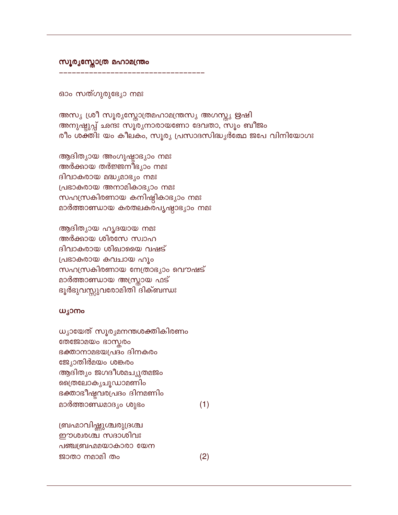ബ്രഹ്മാവിഷ്ണുശ്ചരുദ്രശ്ച ഈശ്വരശ്ച സദാശിവഃ പഞ്ചബ്രഹ്മമയാകാരാ യേന ജാതാ നമാമി തം

 $(1)$ 

 $(2)$ 

ധൃായേത് സൂരൃമനന്തശക്തികിരണം തേജോമയം ഭാസ്കരം ഭക്താനാമഭയപ്രദം ദിനകരം ജ്യോതിർമയം ശങ്കരം ആദിത്യം ജഗദീശമച്യുതമജം വൈതലോകൃചൂഡാമണിം ഭക്താഭീഷ്ടവരപ്രദം ദിനമണിം മാർത്താണ്ഡമാദൃം ശുഭം

## ധ്യാനം

ആദിത്യായ ഹൃദയായ നമഃ അർക്കായ ശിരസേ സ്വാഹ ദിവാകരായ ശിഖായൈ വഷട് പ്രഭാകരായ കവചായ ഹൂം സഹസ്രകിരണായ നേത്രാഭ്യാം വൌഷട് മാർത്താണ്ഡായ അസ്ത്രായ ഫട് ഭൂർഭുവസ്സുവരോമിതി ദിക്ബന്ധഃ

ആദിത്യായ അംഗുഷ്ടാഭ്യാം നമഃ അർക്കായ തർജ്ജനീഭ്യാം നമഃ ദിവാകരായ മദ്ധ്യമാഭ്യം നമഃ പ്രഭാകരായ അനാമികാഭ്യാം നമഃ സഹസ്രകിരണായ കനിഷ്ഠികാഭ്യാം നമഃ മാർത്താണ്ഡായ കരതലകരപൃഷ്ഠാഭ്യാം നമഃ

അസ്യ ശ്രീ സൂര്യസ്തോത്രമഹാമന്ത്രസ്യ അഗസ്ത്യ ഋഷി അനുഷ്ടുപ്പ് ഛന്ദഃ സൂരൃനാരായണോ ദേവതാ, സൂം ബീജം രീം ശക്തിഃ യം കീലകം, സൂരൃ പ്രസാദസിദ്ധ്യർത്ഥേ ജപേ വിനിയോഗഃ

ഓം സത്ഗുരുഭ്യോ നമഃ

സൂര്യസ്തോത്ര മഹാമന്ത്രം